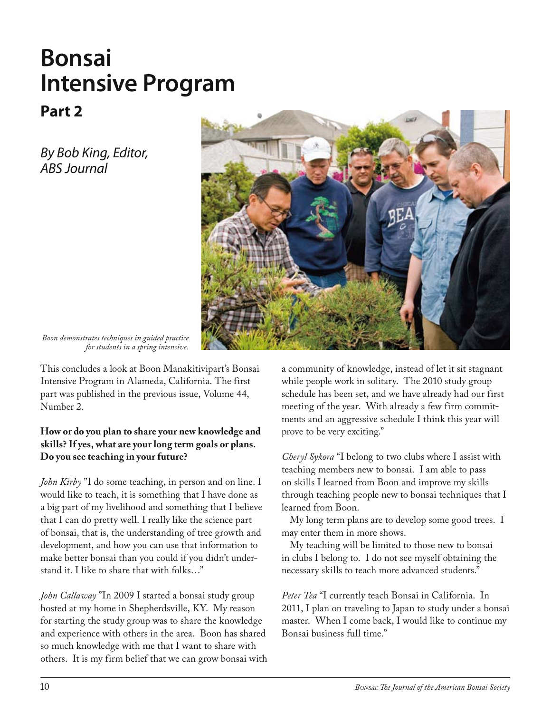## **Bonsai Intensive Program**

## **Part 2**

*By Bob King, Editor, ABS Journal*



*Boon demonstrates techniques in guided practice for students in a spring intensive.*

This concludes a look at Boon Manakitivipart's Bonsai Intensive Program in Alameda, California. The first part was published in the previous issue, Volume 44, Number 2.

## **How or do you plan to share your new knowledge and skills? If yes, what are your long term goals or plans. Do you see teaching in your future?**

*John Kirby* "I do some teaching, in person and on line. I would like to teach, it is something that I have done as a big part of my livelihood and something that I believe that I can do pretty well. I really like the science part of bonsai, that is, the understanding of tree growth and development, and how you can use that information to make better bonsai than you could if you didn't understand it. I like to share that with folks…"

*John Callaway* "In 2009 I started a bonsai study group hosted at my home in Shepherdsville, KY. My reason for starting the study group was to share the knowledge and experience with others in the area. Boon has shared so much knowledge with me that I want to share with others. It is my firm belief that we can grow bonsai with a community of knowledge, instead of let it sit stagnant while people work in solitary. The 2010 study group schedule has been set, and we have already had our first meeting of the year. With already a few firm commitments and an aggressive schedule I think this year will prove to be very exciting."

*Cheryl Sykora* "I belong to two clubs where I assist with teaching members new to bonsai. I am able to pass on skills I learned from Boon and improve my skills through teaching people new to bonsai techniques that I learned from Boon.

My long term plans are to develop some good trees. I may enter them in more shows.

My teaching will be limited to those new to bonsai in clubs I belong to. I do not see myself obtaining the necessary skills to teach more advanced students."

*Peter Tea* "I currently teach Bonsai in California. In 2011, I plan on traveling to Japan to study under a bonsai master. When I come back, I would like to continue my Bonsai business full time."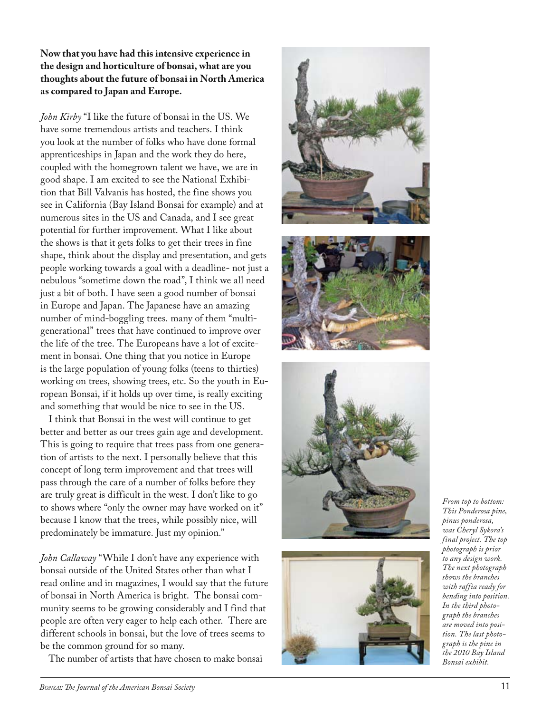## **Now that you have had this intensive experience in the design and horticulture of bonsai, what are you thoughts about the future of bonsai in North America as compared to Japan and Europe.**

*John Kirby* "I like the future of bonsai in the US. We have some tremendous artists and teachers. I think you look at the number of folks who have done formal apprenticeships in Japan and the work they do here, coupled with the homegrown talent we have, we are in good shape. I am excited to see the National Exhibi tion that Bill Valvanis has hosted, the fine shows you see in California (Bay Island Bonsai for example) and at numerous sites in the US and Canada, and I see great potential for further improvement. What I like about the shows is that it gets folks to get their trees in fine shape, think about the display and presentation, and gets people working towards a goal with a deadline- not just a nebulous "sometime down the road", I think we all need just a bit of both. I have seen a good number of bonsai in Europe and Japan. The Japanese have an amazing number of mind-boggling trees. many of them "multigenerational" trees that have continued to improve over the life of the tree. The Europeans have a lot of excite ment in bonsai. One thing that you notice in Europe is the large population of young folks (teens to thirties) working on trees, showing trees, etc. So the youth in Eu ropean Bonsai, if it holds up over time, is really exciting and something that would be nice to see in the US.

I think that Bonsai in the west will continue to get better and better as our trees gain age and development. This is going to require that trees pass from one genera tion of artists to the next. I personally believe that this concept of long term improvement and that trees will pass through the care of a number of folks before they are truly great is difficult in the west. I don't like to go to shows where "only the owner may have worked on it" because I know that the trees, while possibly nice, will predominately be immature. Just my opinion."

*John Callaway* "While I don't have any experience with bonsai outside of the United States other than what I read online and in magazines, I would say that the future of bonsai in North America is bright. The bonsai com munity seems to be growing considerably and I find that people are often very eager to help each other. There are different schools in bonsai, but the love of trees seems to be the common ground for so many.

The number of artists that have chosen to make bonsai









*From top to bottom: This Ponderosa pine, pinus ponderosa, was Cheryl Sykora's final project. The top photograph is prior to any design work. The next photograph shows the branches with raffia ready for bending into position. In the third photo ‑ graph the branches are moved into posi ‑ tion. The last photo ‑ graph is the pine in the 2010 Bay Island Bonsai exhibit.*